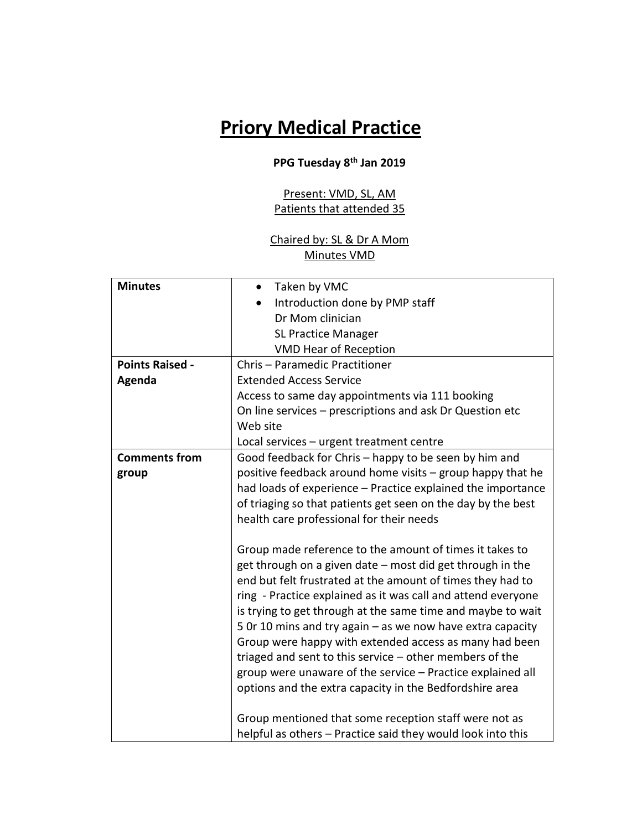## **Priory Medical Practice**

## **PPG Tuesday 8th Jan 2019**

Present: VMD, SL, AM Patients that attended 35

## Chaired by: SL & Dr A Mom Minutes VMD

| <b>Minutes</b>         | Taken by VMC<br>$\bullet$                                    |
|------------------------|--------------------------------------------------------------|
|                        | Introduction done by PMP staff                               |
|                        | Dr Mom clinician                                             |
|                        | <b>SL Practice Manager</b>                                   |
|                        | <b>VMD Hear of Reception</b>                                 |
|                        |                                                              |
| <b>Points Raised -</b> | Chris - Paramedic Practitioner                               |
| Agenda                 | <b>Extended Access Service</b>                               |
|                        | Access to same day appointments via 111 booking              |
|                        | On line services - prescriptions and ask Dr Question etc     |
|                        | Web site                                                     |
|                        | Local services - urgent treatment centre                     |
| <b>Comments from</b>   | Good feedback for Chris - happy to be seen by him and        |
| group                  | positive feedback around home visits - group happy that he   |
|                        | had loads of experience - Practice explained the importance  |
|                        | of triaging so that patients get seen on the day by the best |
|                        | health care professional for their needs                     |
|                        |                                                              |
|                        | Group made reference to the amount of times it takes to      |
|                        | get through on a given date - most did get through in the    |
|                        | end but felt frustrated at the amount of times they had to   |
|                        | ring - Practice explained as it was call and attend everyone |
|                        | is trying to get through at the same time and maybe to wait  |
|                        | 5 Or 10 mins and try again - as we now have extra capacity   |
|                        | Group were happy with extended access as many had been       |
|                        | triaged and sent to this service $-$ other members of the    |
|                        |                                                              |
|                        | group were unaware of the service - Practice explained all   |
|                        | options and the extra capacity in the Bedfordshire area      |
|                        |                                                              |
|                        | Group mentioned that some reception staff were not as        |
|                        | helpful as others - Practice said they would look into this  |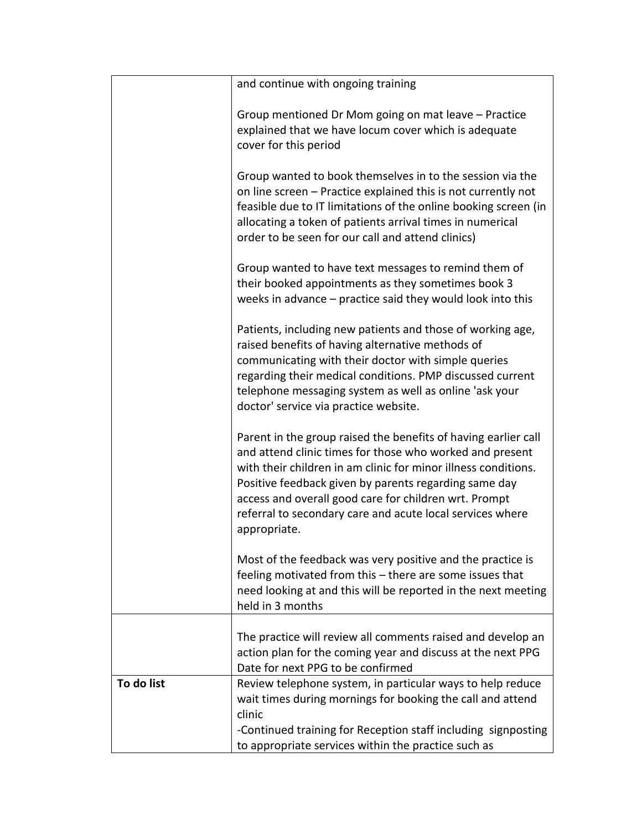|            | and continue with ongoing training                                                                                                                                                                                                                                                                                                                                                          |
|------------|---------------------------------------------------------------------------------------------------------------------------------------------------------------------------------------------------------------------------------------------------------------------------------------------------------------------------------------------------------------------------------------------|
|            | Group mentioned Dr Mom going on mat leave – Practice<br>explained that we have locum cover which is adequate<br>cover for this period                                                                                                                                                                                                                                                       |
|            | Group wanted to book themselves in to the session via the<br>on line screen - Practice explained this is not currently not<br>feasible due to IT limitations of the online booking screen (in<br>allocating a token of patients arrival times in numerical<br>order to be seen for our call and attend clinics)                                                                             |
|            | Group wanted to have text messages to remind them of<br>their booked appointments as they sometimes book 3<br>weeks in advance $-$ practice said they would look into this                                                                                                                                                                                                                  |
|            | Patients, including new patients and those of working age,<br>raised benefits of having alternative methods of<br>communicating with their doctor with simple queries<br>regarding their medical conditions. PMP discussed current<br>telephone messaging system as well as online 'ask your<br>doctor' service via practice website.                                                       |
|            | Parent in the group raised the benefits of having earlier call<br>and attend clinic times for those who worked and present<br>with their children in am clinic for minor illness conditions.<br>Positive feedback given by parents regarding same day<br>access and overall good care for children wrt. Prompt<br>referral to secondary care and acute local services where<br>appropriate. |
|            | Most of the feedback was very positive and the practice is<br>feeling motivated from this - there are some issues that<br>need looking at and this will be reported in the next meeting<br>held in 3 months                                                                                                                                                                                 |
|            | The practice will review all comments raised and develop an<br>action plan for the coming year and discuss at the next PPG<br>Date for next PPG to be confirmed                                                                                                                                                                                                                             |
| To do list | Review telephone system, in particular ways to help reduce<br>wait times during mornings for booking the call and attend<br>clinic<br>-Continued training for Reception staff including signposting<br>to appropriate services within the practice such as                                                                                                                                  |